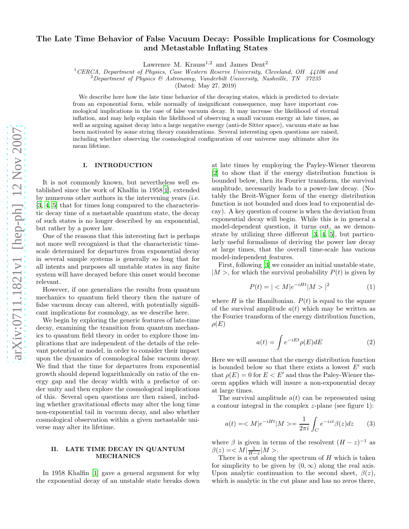# The Late Time Behavior of False Vacuum Decay: Possible Implications for Cosmology and Metastable Inflating States

Lawrence M. Krauss<sup>1,2</sup> and James Dent<sup>2</sup>

 ${}^{1}$ CERCA, Department of Physics, Case Western Reserve University, Cleveland, OH 44106 and

<sup>2</sup>Department of Physics & Astronomy, Vanderbilt University, Nashville, TN 37235

(Dated: May 27, 2019)

We describe here how the late time behavior of the decaying states, which is predicted to deviate from an exponential form, while normally of insignificant consequence, may have important cosmological implications in the case of false vacuum decay. It may increase the likelihood of eternal inflation, and may help explain the likelihood of observing a small vacuum energy at late times, as well as arguing against decay into a large negative energy (anti-de Sitter space), vacuum state as has been motivated by some string theory considerations. Several interesting open questions are raised, including whether observing the cosmological configuration of our universe may ultimate alter its mean lifetime.

## I. INTRODUCTION

It is not commonly known, but nevertheless well established since the work of Khalfin in 1958[\[1\]](#page-3-0), extended by numerous other authors in the intervening years (i.e. [\[3,](#page-3-1) [4,](#page-3-2) [5\]](#page-3-3) that for times long compared to the characteristic decay time of a metastable quantum state, the decay of such states is no longer described by an exponential, but rather by a power law.

One of the reasons that this interesting fact is perhaps not more well recognized is that the characteristic timescale determined for departures from exponential decay in several sample systems is generally so long that for all intents and purposes all unstable states in any finite system will have decayed before this onset would become relevant.

However, if one generalizes the results from quantum mechanics to quantum field theory then the nature of false vacuum decay can altered, with potentially significant implications for cosmology, as we describe here.

We begin by exploring the generic features of late-time decay, examining the transition from quantum mechanics to quantum field theory in order to explore those implications that are independent of the details of the relevant potential or model, in order to consider their impact upon the dynamics of cosmological false vacuum decay. We find that the time for departures from exponential growth should depend logarithmically on ratio of the energy gap and the decay width with a prefactor of order unity and then explore the cosmological implications of this. Several open questions are then raised, including whether gravitational effects may alter the long time non-exponential tail in vacuum decay, and also whether cosmological observation within a given metastable universe may alter its lifetime.

## II. LATE TIME DECAY IN QUANTUM MECHANICS

In 1958 Khalfin [\[1](#page-3-0)] gave a general argument for why the exponential decay of an unstable state breaks down

at late times by employing the Payley-Wiener theorem [\[2\]](#page-3-4) to show that if the energy distribution function is bounded below, then its Fourier transform, the survival amplitude, necessarily leads to a power-law decay. (Notably the Breit-Wigner form of the energy distribution function is not bounded and does lead to exponential decay). A key question of course is when the deviation from exponential decay will begin. While this is in general a model-dependent question, it turns out, as we demonstrate by utilizing three different [\[3,](#page-3-1) [4,](#page-3-2) [5\]](#page-3-3), but particularly useful formalisms of deriving the power law decay at large times, that the overall time-scale has various model-independent features.

First, following [\[3](#page-3-1)] we consider an initial unstable state,  $|M>$ , for which the survival probability  $P(t)$  is given by

$$
P(t) = | \langle M | e^{-iHt} | M \rangle |^2 \tag{1}
$$

where H is the Hamiltonian.  $P(t)$  is equal to the square of the survival amplitude  $a(t)$  which may be written as the Fourier transform of the energy distribution function,  $\rho(E)$ 

$$
a(t) = \int e^{-iEt} \rho(E) dE \tag{2}
$$

Here we will assume that the energy distribution function is bounded below so that there exists a lowest  $E'$  such that  $\rho(E) = 0$  for  $E < E'$  and thus the Paley-Wiener theorem applies which will insure a non-exponential decay at large times.

The survival amplitude  $a(t)$  can be represented using a contour integral in the complex z-plane (see figure 1):

$$
a(t) = \langle M|e^{-iHt}|M \rangle = \frac{1}{2\pi i} \int_C e^{-izt} \beta(z) dz \qquad (3)
$$

where  $\beta$  is given in terms of the resolvent  $(H - z)^{-1}$  as  $\beta(z) = < M | \frac{1}{H-z} | M >.$ 

There is a cut along the spectrum of  $H$  which is taken for simplicity to be given by  $(0, \infty)$  along the real axis. Upon analytic continuation to the second sheet,  $\beta(z)$ , which is analytic in the cut plane and has no zeros there,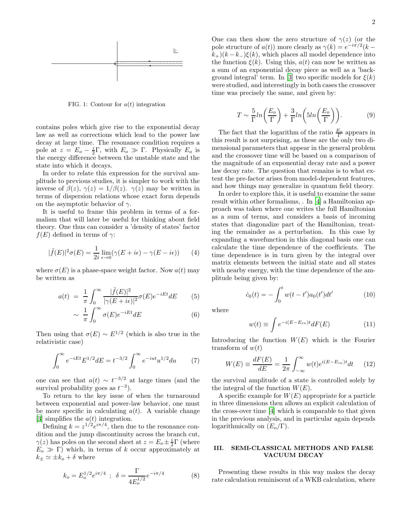

FIG. 1: Contour for  $a(t)$  integration

contains poles which give rise to the exponential decay law as well as corrections which lead to the power law decay at large time. The resonance condition requires a pole at  $z = E_o - \frac{i}{2}\Gamma$ , with  $E_o \gg \Gamma$ . Physically  $E_o$  is the energy difference between the unstable state and the state into which it decays.

In order to relate this expression for the survival amplitude to previous studies, it is simpler to work with the inverse of  $\beta(z)$ ,  $\gamma(z) = 1/\beta(z)$ .  $\gamma(z)$  may be written in terms of dispersion relations whose exact form depends on the asymptotic behavior of  $\gamma$ .

It is useful to frame this problem in terms of a formalism that will later be useful for thinking about field theory. One thus can consider a 'density of states' factor  $f(E)$  defined in terms of  $\gamma$ :

$$
|\tilde{f}(E)|^2 \sigma(E) = \frac{1}{2i} \lim_{\epsilon \to 0} (\gamma(E + i\epsilon) - \gamma(E - i\epsilon)) \tag{4}
$$

where  $\sigma(E)$  is a phase-space weight factor. Now  $a(t)$  may be written as

$$
a(t) = \frac{1}{\pi} \int_0^\infty \frac{|\tilde{f}(E)|^2}{|\gamma(E + i\epsilon)|^2} \sigma(E) e^{-iEt} dE \qquad (5)
$$

$$
\sim \frac{1}{\pi} \int_0^\infty \sigma(E) e^{-iEt} dE \tag{6}
$$

Then using that  $\sigma(E) \sim E^{1/2}$  (which is also true in the relativistic case)

$$
\int_0^\infty e^{-iEt} E^{1/2} dE = t^{-3/2} \int_0^\infty e^{-iut} u^{1/2} du \qquad (7)
$$

one can see that  $a(t) \sim t^{-3/2}$  at large times (and the survival probability goes as  $t^{-3}$ ).

To return to the key issue of when the turnaround between exponential and power-law behavior, one must be more specific in calculating  $a(t)$ . A variable change [\[3\]](#page-3-1) simplifies the  $a(t)$  integration.

Defining  $k = z^{1/2}e^{i\pi/4}$ , then due to the resonance condition and the jump discontinuity across the branch cut,  $\gamma(z)$  has poles on the second sheet at  $z = E_o \pm \frac{i}{2} \Gamma$  (where  $E_0 \gg \Gamma$ ) which, in terms of k occur approximately at  $k_{\pm} \simeq \pm k_o + \delta$  where

$$
k_o = E_o^{1/2} e^{i\pi/4} \; ; \; \delta = \frac{\Gamma}{4E_o^{1/2}} e^{-i\pi/4} \tag{8}
$$

One can then show the zero structure of  $\gamma(z)$  (or the pole structure of  $a(t)$ ) more clearly as  $\gamma(k) = e^{-i\pi/2}(k (k+1)(k-k-1)\xi(k)$ , which places all model dependence into the function  $\xi(k)$ . Using this,  $a(t)$  can now be written as a sum of an exponential decay piece as well as a 'back-ground integral' term. In [\[3\]](#page-3-1) two specific models for  $\xi(k)$ were studied, and interestingly in both cases the crossover time was precisely the same, and given by:

<span id="page-1-0"></span>
$$
T \sim \frac{5}{\Gamma} ln\left(\frac{E_o}{\Gamma}\right) + \frac{3}{\Gamma} ln\left(5ln\left(\frac{E_o}{\Gamma}\right)\right).
$$
 (9)

The fact that the logarithm of the ratio  $\frac{E_o}{\Gamma}$  appears in this result is not surprising, as these are the only two dimensional parameters that appear in the general problem and the crossover time will be based on a comparison of the magnitude of an exponential decay rate and a power law decay rate. The question that remains is to what extent the pre-factor arises from model-dependent features, and how things may generalize in quantum field theory.

In order to explore this, it is useful to examine the same result within other formalisms, . In [\[4\]](#page-3-2) a Hamiltonian approach was taken where one writes the full Hamiltonian as a sum of terms, and considers a basis of incoming states that diagonalize part of the Hamiltonian, treating the remainder as a perturbation. In this case by expanding a wavefunction in this diagonal basis one can calculate the time dependence of the coefficients. The time dependence is in turn given by the integral over matrix elements between the initial state and all states with nearby energy, with the time dependence of the amplitude being given by:

$$
\dot{c}_0(t) = -\int_0^t w(t - t') a_0(t') dt' \tag{10}
$$

where

$$
w(t) \equiv \int e^{-i(E - E_{in})t} dF(E) \tag{11}
$$

Introducing the function  $W(E)$  which is the Fourier transform of  $w(t)$ 

$$
W(E) \equiv \frac{dF(E)}{dE} = \frac{1}{2\pi} \int_{-\infty}^{\infty} w(t)e^{i(E - E_{in})t} dt \qquad (12)
$$

the survival amplitude of a state is controlled solely by the integral of the function  $W(E)$ .

A specific example for  $W(E)$  appropriate for a particle in three dimensions then allows an explicit calculation of the cross-over time [\[4\]](#page-3-2) which is comparable to that given in the previous analysis, and in particular again depends logarithmically on  $(E_o/\Gamma)$ .

## III. SEMI-CLASSICAL METHODS AND FALSE VACUUM DECAY

Presenting these results in this way makes the decay rate calculation reminiscent of a WKB calculation, where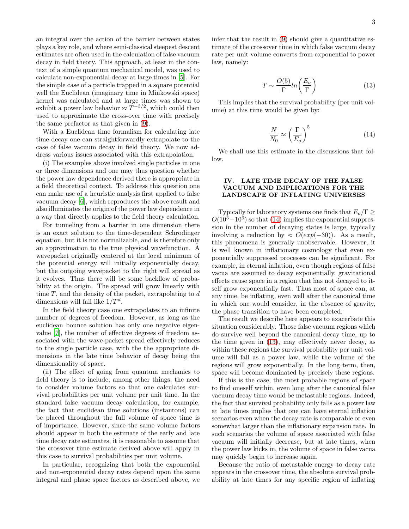an integral over the action of the barrier between states plays a key role, and where semi-classical steepest descent estimates are often used in the calculation of false vacuum decay in field theory. This approach, at least in the context of a simple quantum mechanical model, was used to calculate non-exponential decay at large times in [\[5\]](#page-3-3). For the simple case of a particle trapped in a square potential well the Euclidean (imaginary time in Minkowski space) kernel was calculated and at large times was shown to exhibit a power law behavior  $\approx T^{-3/2}$ , which could then used to approximate the cross-over time with precisely the same prefactor as that given in [\(9\)](#page-1-0).

With a Euclidean time formalism for calculating late time decay one can straightforwardly extrapolate to the case of false vacuum decay in field theory. We now address various issues associated with this extrapolation.

(i) The examples above involved single particles in one or three dimensions and one may thus question whether the power law dependence derived there is appropriate in a field theoretical context. To address this question one can make use of a heuristic analysis first applied to false vacuum decay [\[6](#page-3-5)], which reproduces the above result and also illuminates the origin of the power law dependence in a way that directly applies to the field theory calculation.

For tunneling from a barrier in one dimension there is an exact solution to the time-dependent Schrodinger equation, but it is not normalizable, and is therefore only an approximation to the true physical wavefunction. A wavepacket originally centered at the local minimum of the potential energy will initially exponentially decay, but the outgoing wavepacket to the right will spread as it evolves. Thus there will be some backflow of probability at the origin. The spread will grow linearly with time  $T$ , and the density of the packet, extrapolating to  $d$ dimensions will fall like  $1/T<sup>d</sup>$ .

In the field theory case one extrapolates to an infinite number of degrees of freedom. However, as long as the euclidean bounce solution has only one negative eigenvalue [\[7\]](#page-3-6), the number of effective degrees of freedom associated with the wave-packet spread effectively reduces to the single particle case, with the the appropriate dimensions in the late time behavior of decay being the dimensionality of space.

(ii) The effect of going from quantum mechanics to field theory is to include, among other things, the need to consider volume factors so that one calculates survival probabilities per unit volume per unit time. In the standard false vacuum decay calculation, for example, the fact that euclidean time solutions (instantons) can be placed throughout the full volume of space time is of importance. However, since the same volume factors should appear in both the estimate of the early and late time decay rate estimates, it is reasonable to assume that the crossover time estimate derived above will apply in this case to survival probabilities per unit volume.

In particular, recognizing that both the exponential and non-exponential decay rates depend upon the same integral and phase space factors as described above, we infer that the result in [\(9\)](#page-1-0) should give a quantitative estimate of the crossover time in which false vacuum decay rate per unit volume converts from exponential to power law, namely:

<span id="page-2-1"></span>
$$
T \sim \frac{O(5)}{\Gamma} ln\left(\frac{E_o}{\Gamma}\right) \tag{13}
$$

This implies that the survival probability (per unit volume) at this time would be given by:

<span id="page-2-0"></span>
$$
\frac{N}{N_0} \approx \left(\frac{\Gamma}{E_o}\right)^5 \tag{14}
$$

We shall use this estimate in the discussions that follow.

## IV. LATE TIME DECAY OF THE FALSE VACUUM AND IMPLICATIONS FOR THE LANDSCAPE OF INFLATING UNIVERSES

Typically for laboratory systems one finds that  $E_o/\Gamma$  >  $O(10^3-10^6)$  so that [\(14\)](#page-2-0) implies the exponential suppression in the number of decaying states is large, typically involving a reduction by  $\approx O(exp(-30))$ . As a result, this phenomena is generally unobservable. However, it is well known in inflationary cosmology that even exponentially suppressed processes can be significant. For example, in eternal inflation, even though regions of false vacua are assumed to decay exponentially, gravitational effects cause space in a region that has not decayed to itself grow exponentially fast. Thus most of space can, at any time, be inflating, even well after the canonical time in which one would consider, in the absence of gravity, the phase transition to have been completed.

The result we describe here appears to exacerbate this situation considerably. Those false vacuum regions which do survive well beyond the canonical decay time, up to the time given in [\(13\)](#page-2-1), may effectively never decay, as within these regions the survival probability per unit volume will fall as a power law, while the volume of the regions will grow exponentially. In the long term, then, space will become dominated by precisely these regions.

If this is the case, the most probable regions of space to find oneself within, even long after the canonical false vacuum decay time would be metastable regions. Indeed, the fact that survival probability only falls as a power law at late times implies that one can have eternal inflation scenarios even when the decay rate is comparable or even somewhat larger than the inflationary expansion rate. In such scenarios the volume of space associated with false vacuum will initially decrease, but at late times, when the power law kicks in, the volume of space in false vacua may quickly begin to increase again.

Because the ratio of metastable energy to decay rate appears in the crossover time, the absolute survival probability at late times for any specific region of inflating